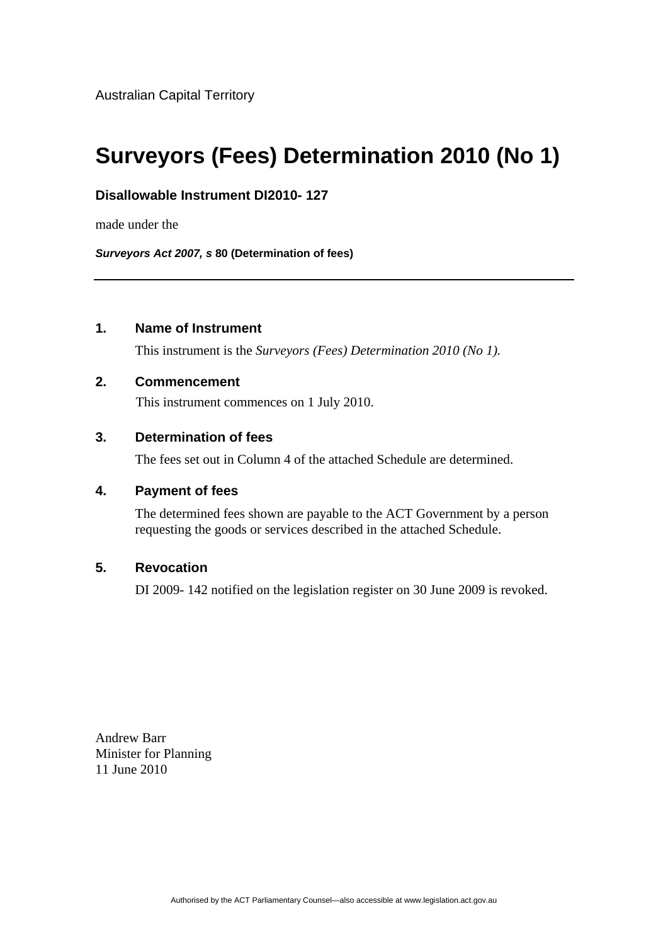# **Surveyors (Fees) Determination 2010 (No 1)**

# **Disallowable Instrument DI2010- 127**

made under the

*Surveyors Act 2007, s* **80 (Determination of fees)**

# **1. Name of Instrument**

This instrument is the *Surveyors (Fees) Determination 2010 (No 1).* 

## **2. Commencement**

This instrument commences on 1 July 2010.

## **3. Determination of fees**

The fees set out in Column 4 of the attached Schedule are determined.

### **4. Payment of fees**

The determined fees shown are payable to the ACT Government by a person requesting the goods or services described in the attached Schedule.

### **5. Revocation**

DI 2009- 142 notified on the legislation register on 30 June 2009 is revoked.

Andrew Barr Minister for Planning 11 June 2010